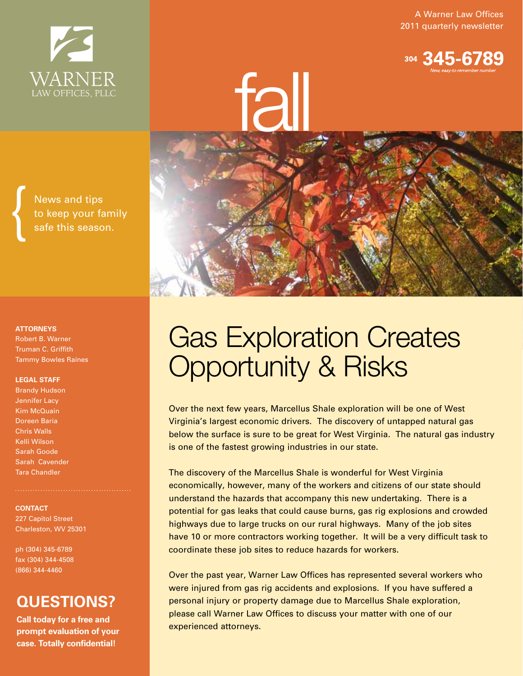A Warner Law Offices 2011 quarterly newsletter





# Gas Exploration Creates Opportunity & Risks

Over the next few years, Marcellus Shale exploration will be one of West Virginia's largest economic drivers. The discovery of untapped natural gas below the surface is sure to be great for West Virginia. The natural gas industry is one of the fastest growing industries in our state.

The discovery of the Marcellus Shale is wonderful for West Virginia economically, however, many of the workers and citizens of our state should understand the hazards that accompany this new undertaking. There is a potential for gas leaks that could cause burns, gas rig explosions and crowded highways due to large trucks on our rural highways. Many of the job sites have 10 or more contractors working together. It will be a very difficult task to coordinate these job sites to reduce hazards for workers.

Over the past year, Warner Law Offices has represented several workers who were injured from gas rig accidents and explosions. If you have suffered a personal injury or property damage due to Marcellus Shale exploration, please call Warner Law Offices to discuss your matter with one of our experienced attorneys.

News and tips to keep your family safe this season.

WARNER

#### **ATTORNEYS** Robert B. Warner Truman C. Griffith

Tammy Bowles Raines

#### **LEGAL STAFF**

Brandy Hudson Jennifer Lacy Kim McQuain Doreen Baria Chris Walls Kelli Wilson Sarah Goode Sarah Cavender Tara Chandler

**CONTACT** 227 Capitol Street Charleston, WV 25301

ph (304) 345-6789 fax (304) 344-4508 (866) 344-4460

### **QUESTIONS?**

**Call today for a free and prompt evaluation of your case. Totally confidential!**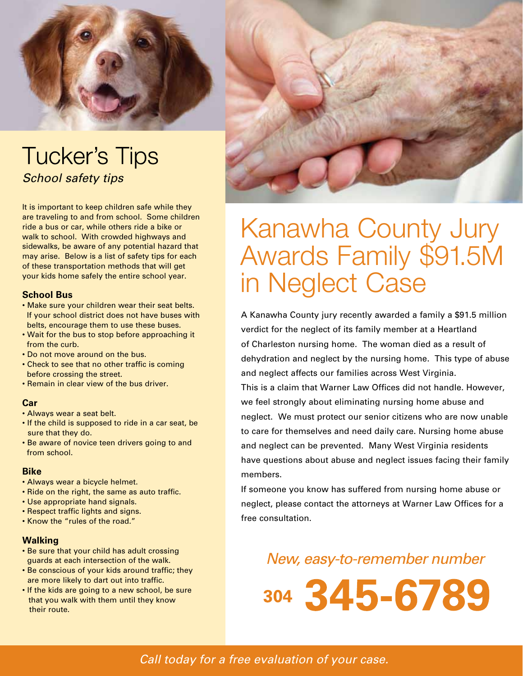

## **Tucker's Tips** *School safety tips*

It is important to keep children safe while they are traveling to and from school. Some children ride a bus or car, while others ride a bike or walk to school. With crowded highways and sidewalks, be aware of any potential hazard that may arise. Below is a list of safety tips for each of these transportation methods that will get your kids home safely the entire school year.

#### **School Bus**

- Make sure your children wear their seat belts. If your school district does not have buses with belts, encourage them to use these buses.
- Wait for the bus to stop before approaching it from the curb.
- Do not move around on the bus.
- Check to see that no other traffic is coming before crossing the street.
- Remain in clear view of the bus driver.

#### **Car**

- Always wear a seat belt.
- If the child is supposed to ride in a car seat, be sure that they do.
- Be aware of novice teen drivers going to and from school.

#### **Bike**

- Always wear a bicycle helmet.
- Ride on the right, the same as auto traffic.
- Use appropriate hand signals.
- Respect traffic lights and signs.
- Know the "rules of the road."

#### **Walking**

- Be sure that your child has adult crossing guards at each intersection of the walk.
- Be conscious of your kids around traffic; they are more likely to dart out into traffic.
- If the kids are going to a new school, be sure that you walk with them until they know their route.



## Kanawha County Jury Awards Family \$91.5M in Neglect Case

A Kanawha County jury recently awarded a family a \$91.5 million verdict for the neglect of its family member at a Heartland of Charleston nursing home. The woman died as a result of dehydration and neglect by the nursing home. This type of abuse and neglect affects our families across West Virginia. This is a claim that Warner Law Offices did not handle. However, we feel strongly about eliminating nursing home abuse and neglect. We must protect our senior citizens who are now unable to care for themselves and need daily care. Nursing home abuse and neglect can be prevented. Many West Virginia residents have questions about abuse and neglect issues facing their family members.

If someone you know has suffered from nursing home abuse or neglect, please contact the attorneys at Warner Law Offices for a free consultation.

New, easy-to-remember number

304 345-6789

*Call today for a free evaluation of your case.*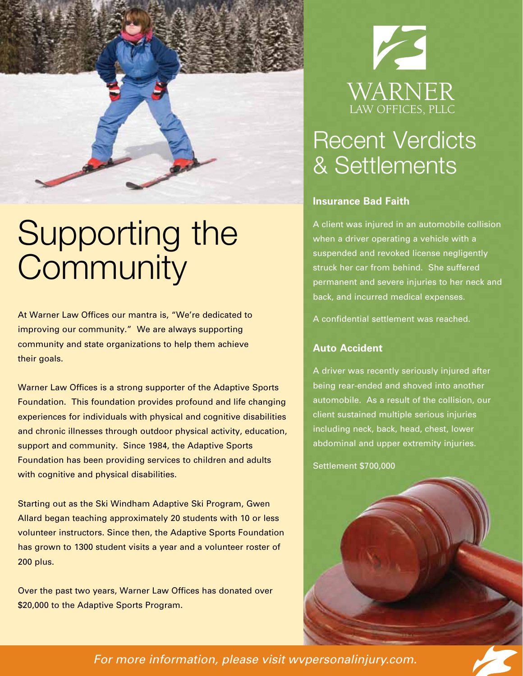

# Supporting the **Community**

At Warner Law Offices our mantra is, "We're dedicated to improving our community." We are always supporting community and state organizations to help them achieve their goals.

Warner Law Offices is a strong supporter of the Adaptive Sports Foundation. This foundation provides profound and life changing experiences for individuals with physical and cognitive disabilities and chronic illnesses through outdoor physical activity, education, support and community. Since 1984, the Adaptive Sports Foundation has been providing services to children and adults with cognitive and physical disabilities.

Starting out as the Ski Windham Adaptive Ski Program, Gwen Allard began teaching approximately 20 students with 10 or less volunteer instructors. Since then, the Adaptive Sports Foundation has grown to 1300 student visits a year and a volunteer roster of 200 plus.

Over the past two years, Warner Law Offices has donated over \$20,000 to the Adaptive Sports Program.



## Recent Verdicts & Settlements

#### **Insurance Bad Faith**

A client was injured in an automobile collision when a driver operating a vehicle with a suspended and revoked license negligently struck her car from behind. She suffered permanent and severe injuries to her neck and back, and incurred medical expenses.

A confidential settlement was reached.

#### **Auto Accident**

A driver was recently seriously injured after being rear-ended and shoved into another automobile. As a result of the collision, our client sustained multiple serious injuries including neck, back, head, chest, lower abdominal and upper extremity injuries.

Settlement \$700,000



*For more information, please visit wvpersonalinjury.com.*